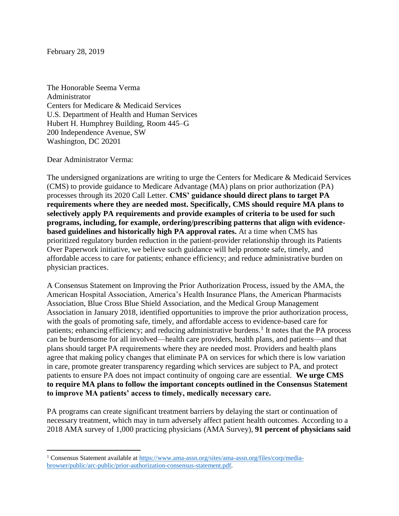February 28, 2019

The Honorable Seema Verma Administrator Centers for Medicare & Medicaid Services U.S. Department of Health and Human Services Hubert H. Humphrey Building, Room 445–G 200 Independence Avenue, SW Washington, DC 20201

## Dear Administrator Verma:

 $\overline{a}$ 

The undersigned organizations are writing to urge the Centers for Medicare & Medicaid Services (CMS) to provide guidance to Medicare Advantage (MA) plans on prior authorization (PA) processes through its 2020 Call Letter. **CMS' guidance should direct plans to target PA requirements where they are needed most. Specifically, CMS should require MA plans to selectively apply PA requirements and provide examples of criteria to be used for such programs, including, for example, ordering/prescribing patterns that align with evidencebased guidelines and historically high PA approval rates.** At a time when CMS has prioritized regulatory burden reduction in the patient-provider relationship through its Patients Over Paperwork initiative, we believe such guidance will help promote safe, timely, and affordable access to care for patients; enhance efficiency; and reduce administrative burden on physician practices.

A Consensus Statement on Improving the Prior Authorization Process, issued by the AMA, the American Hospital Association, America's Health Insurance Plans, the American Pharmacists Association, Blue Cross Blue Shield Association, and the Medical Group Management Association in January 2018, identified opportunities to improve the prior authorization process, with the goals of promoting safe, timely, and affordable access to evidence-based care for patients; enhancing efficiency; and reducing administrative burdens.<sup>1</sup> It notes that the PA process can be burdensome for all involved—health care providers, health plans, and patients—and that plans should target PA requirements where they are needed most. Providers and health plans agree that making policy changes that eliminate PA on services for which there is low variation in care, promote greater transparency regarding which services are subject to PA, and protect patients to ensure PA does not impact continuity of ongoing care are essential. **We urge CMS to require MA plans to follow the important concepts outlined in the Consensus Statement to improve MA patients' access to timely, medically necessary care.**

PA programs can create significant treatment barriers by delaying the start or continuation of necessary treatment, which may in turn adversely affect patient health outcomes. According to a 2018 AMA survey of 1,000 practicing physicians (AMA Survey), **91 percent of physicians said** 

<sup>1</sup> Consensus Statement available at [https://www.ama-assn.org/sites/ama-assn.org/files/corp/media](https://www.ama-assn.org/sites/ama-assn.org/files/corp/media-browser/public/arc-public/prior-authorization-consensus-statement.pdf)[browser/public/arc-public/prior-authorization-consensus-statement.pdf.](https://www.ama-assn.org/sites/ama-assn.org/files/corp/media-browser/public/arc-public/prior-authorization-consensus-statement.pdf)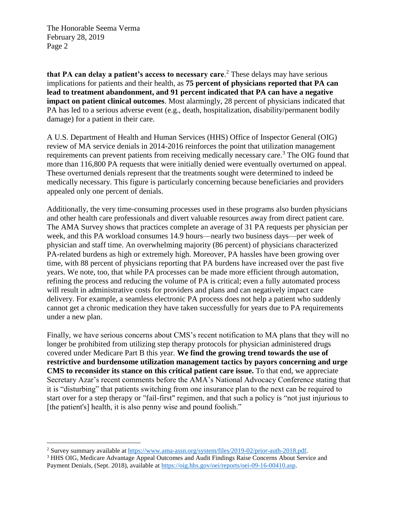$\overline{a}$ 

**that PA can delay a patient's access to necessary care**. <sup>2</sup> These delays may have serious implications for patients and their health, as **75 percent of physicians reported that PA can lead to treatment abandonment, and 91 percent indicated that PA can have a negative impact on patient clinical outcomes**. Most alarmingly, 28 percent of physicians indicated that PA has led to a serious adverse event (e.g., death, hospitalization, disability/permanent bodily damage) for a patient in their care.

A U.S. Department of Health and Human Services (HHS) Office of Inspector General (OIG) review of MA service denials in 2014-2016 reinforces the point that utilization management requirements can prevent patients from receiving medically necessary care.<sup>3</sup> The OIG found that more than 116,800 PA requests that were initially denied were eventually overturned on appeal. These overturned denials represent that the treatments sought were determined to indeed be medically necessary. This figure is particularly concerning because beneficiaries and providers appealed only one percent of denials.

Additionally, the very time-consuming processes used in these programs also burden physicians and other health care professionals and divert valuable resources away from direct patient care. The AMA Survey shows that practices complete an average of 31 PA requests per physician per week, and this PA workload consumes 14.9 hours—nearly two business days—per week of physician and staff time. An overwhelming majority (86 percent) of physicians characterized PA-related burdens as high or extremely high. Moreover, PA hassles have been growing over time, with 88 percent of physicians reporting that PA burdens have increased over the past five years. We note, too, that while PA processes can be made more efficient through automation, refining the process and reducing the volume of PA is critical; even a fully automated process will result in administrative costs for providers and plans and can negatively impact care delivery. For example, a seamless electronic PA process does not help a patient who suddenly cannot get a chronic medication they have taken successfully for years due to PA requirements under a new plan.

Finally, we have serious concerns about CMS's recent notification to MA plans that they will no longer be prohibited from utilizing step therapy protocols for physician administered drugs covered under Medicare Part B this year. **We find the growing trend towards the use of restrictive and burdensome utilization management tactics by payors concerning and urge CMS to reconsider its stance on this critical patient care issue.** To that end, we appreciate Secretary Azar's recent comments before the AMA's National Advocacy Conference stating that it is "disturbing" that patients switching from one insurance plan to the next can be required to start over for a step therapy or "fail-first" regimen, and that such a policy is "not just injurious to [the patient's] health, it is also penny wise and pound foolish."

<sup>2</sup> Survey summary available at [https://www.ama-assn.org/system/files/2019-02/prior-auth-2018.pdf.](https://www.ama-assn.org/system/files/2019-02/prior-auth-2018.pdf)

<sup>&</sup>lt;sup>3</sup> HHS OIG, Medicare Advantage Appeal Outcomes and Audit Findings Raise Concerns About Service and Payment Denials, (Sept. 2018), available at [https://oig.hhs.gov/oei/reports/oei-09-16-00410.asp.](https://oig.hhs.gov/oei/reports/oei-09-16-00410.asp)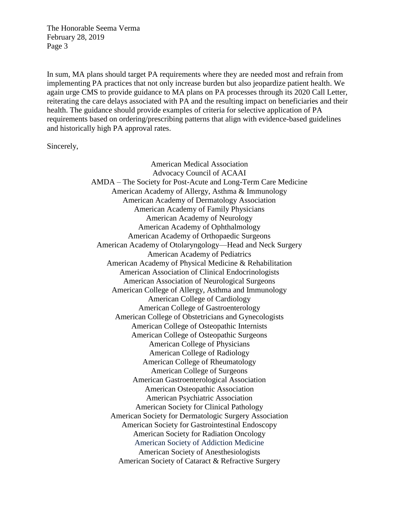In sum, MA plans should target PA requirements where they are needed most and refrain from implementing PA practices that not only increase burden but also jeopardize patient health. We again urge CMS to provide guidance to MA plans on PA processes through its 2020 Call Letter, reiterating the care delays associated with PA and the resulting impact on beneficiaries and their health. The guidance should provide examples of criteria for selective application of PA requirements based on ordering/prescribing patterns that align with evidence-based guidelines and historically high PA approval rates.

Sincerely,

American Medical Association Advocacy Council of ACAAI AMDA – The Society for Post-Acute and Long-Term Care Medicine American Academy of Allergy, Asthma & Immunology American Academy of Dermatology Association American Academy of Family Physicians American Academy of Neurology American Academy of Ophthalmology American Academy of Orthopaedic Surgeons American Academy of Otolaryngology—Head and Neck Surgery American Academy of Pediatrics American Academy of Physical Medicine & Rehabilitation American Association of Clinical Endocrinologists American Association of Neurological Surgeons American College of Allergy, Asthma and Immunology American College of Cardiology American College of Gastroenterology American College of Obstetricians and Gynecologists American College of Osteopathic Internists American College of Osteopathic Surgeons American College of Physicians American College of Radiology American College of Rheumatology American College of Surgeons American Gastroenterological Association American Osteopathic Association American Psychiatric Association American Society for Clinical Pathology American Society for Dermatologic Surgery Association American Society for Gastrointestinal Endoscopy American Society for Radiation Oncology American Society of Addiction Medicine American Society of Anesthesiologists American Society of Cataract & Refractive Surgery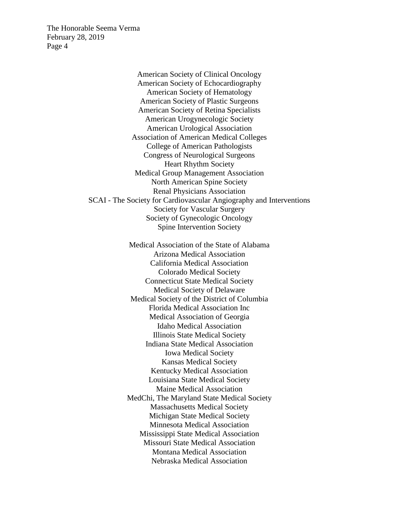> American Society of Clinical Oncology American Society of Echocardiography American Society of Hematology American Society of Plastic Surgeons American Society of Retina Specialists American Urogynecologic Society American Urological Association Association of American Medical Colleges College of American Pathologists Congress of Neurological Surgeons Heart Rhythm Society Medical Group Management Association North American Spine Society Renal Physicians Association SCAI - The Society for Cardiovascular Angiography and Interventions Society for Vascular Surgery Society of Gynecologic Oncology Spine Intervention Society Medical Association of the State of Alabama Arizona Medical Association

California Medical Association Colorado Medical Society Connecticut State Medical Society Medical Society of Delaware Medical Society of the District of Columbia Florida Medical Association Inc Medical Association of Georgia Idaho Medical Association Illinois State Medical Society Indiana State Medical Association Iowa Medical Society Kansas Medical Society Kentucky Medical Association Louisiana State Medical Society Maine Medical Association MedChi, The Maryland State Medical Society Massachusetts Medical Society Michigan State Medical Society Minnesota Medical Association Mississippi State Medical Association Missouri State Medical Association Montana Medical Association Nebraska Medical Association